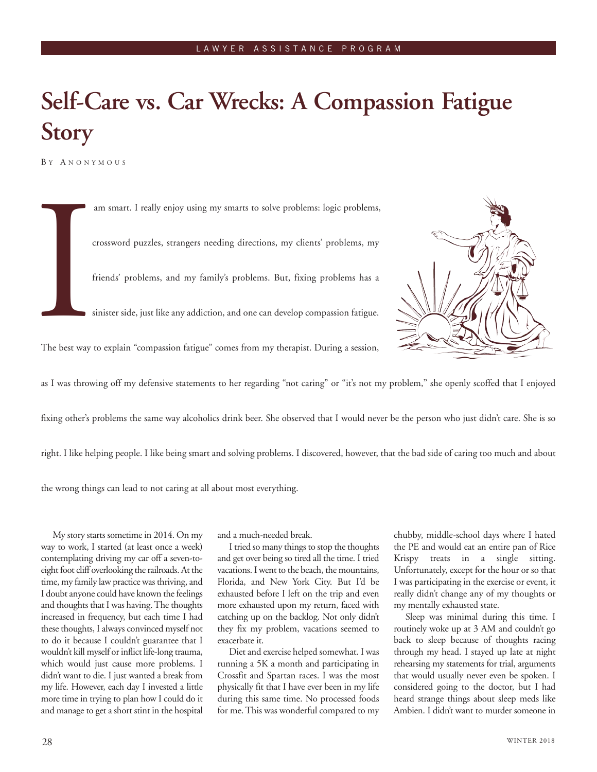## **Self-Care vs. Car Wrecks: A Compassion Fatigue Story**

B Y A NONYMOUS

The best way am smart. I really enjoy using my smarts to solve problems: logic problems, crossword puzzles, strangers needing directions, my clients' problems, my friends' problems, and my family's problems. But, fixing problems has a sinister side, just like any addiction, and one can develop compassion fatigue. The best way to explain "compassion fatigue" comes from my therapist. During a session, as I was throwing off my defensive statements to her regarding "not caring" or "it's not my problem," she openly scoffed that I enjoyed fixing other's problems the same way alcoholics drink beer. She observed that I would never be the person who just didn't care. She is so

right. I like helping people. I like being smart and solving problems. I discovered, however, that the bad side of caring too much and about

the wrong things can lead to not caring at all about most everything.

My story starts sometime in 2014. On my way to work, I started (at least once a week) contemplating driving my car off a seven-toeight foot cliff overlooking the railroads. At the time, my family law practice was thriving, and I doubt anyone could have known the feelings and thoughts that I was having. The thoughts increased in frequency, but each time I had these thoughts, I always convinced myself not to do it because I couldn't guarantee that I wouldn't kill myself or inflict life-long trauma, which would just cause more problems. I didn't want to die. I just wanted a break from my life. However, each day I invested a little more time in trying to plan how I could do it and manage to get a short stint in the hospital

and a much-needed break.

I tried so many things to stop the thoughts and get over being so tired all the time. I tried vacations. I went to the beach, the mountains, Florida, and New York City. But I'd be exhausted before I left on the trip and even more exhausted upon my return, faced with catching up on the backlog. Not only didn't they fix my problem, vacations seemed to exacerbate it.

Diet and exercise helped somewhat. I was running a 5K a month and participating in Crossfit and Spartan races. I was the most physically fit that I have ever been in my life during this same time. No processed foods for me. This was wonderful compared to my chubby, middle-school days where I hated the PE and would eat an entire pan of Rice Krispy treats in a single sitting. Unfortunately, except for the hour or so that I was participating in the exercise or event, it really didn't change any of my thoughts or my mentally exhausted state.

Sleep was minimal during this time. I routinely woke up at 3 AM and couldn't go back to sleep because of thoughts racing through my head. I stayed up late at night rehearsing my statements for trial, arguments that would usually never even be spoken. I considered going to the doctor, but I had heard strange things about sleep meds like Ambien. I didn't want to murder someone in

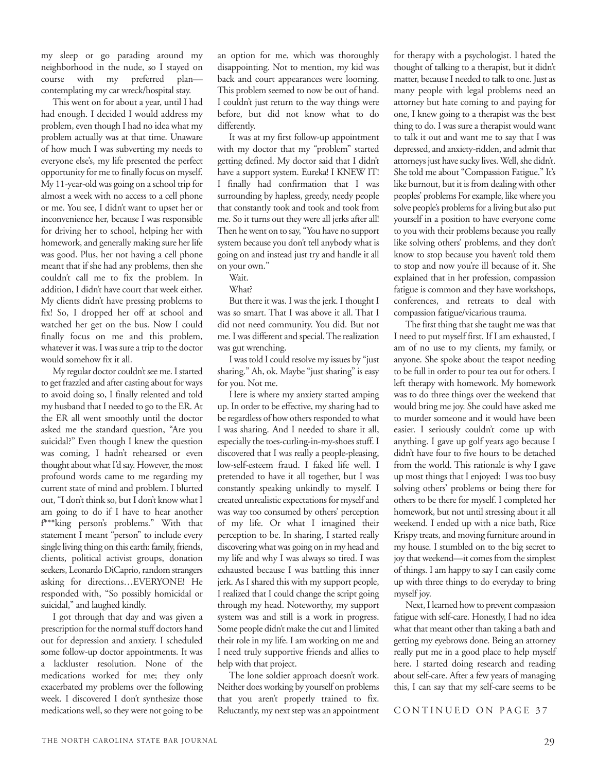my sleep or go parading around my neighborhood in the nude, so I stayed on course with my preferred plan contemplating my car wreck/hospital stay.

This went on for about a year, until I had had enough. I decided I would address my problem, even though I had no idea what my problem actually was at that time. Unaware of how much I was subverting my needs to everyone else's, my life presented the perfect opportunity for me to finally focus on myself. My 11-year-old was going on a school trip for almost a week with no access to a cell phone or me. You see, I didn't want to upset her or inconvenience her, because I was responsible for driving her to school, helping her with homework, and generally making sure her life was good. Plus, her not having a cell phone meant that if she had any problems, then she couldn't call me to fix the problem. In addition, I didn't have court that week either. My clients didn't have pressing problems to fix! So, I dropped her off at school and watched her get on the bus. Now I could finally focus on me and this problem, whatever it was. I was sure a trip to the doctor would somehow fix it all.

My regular doctor couldn't see me. I started to get frazzled and after casting about for ways to avoid doing so, I finally relented and told my husband that I needed to go to the ER. At the ER all went smoothly until the doctor asked me the standard question, "Are you suicidal?" Even though I knew the question was coming, I hadn't rehearsed or even thought about what I'd say. However, the most profound words came to me regarding my current state of mind and problem. I blurted out, "I don't think so, but I don't know what I am going to do if I have to hear another f\*\*\*king person's problems." With that statement I meant "person" to include every single living thing on this earth: family, friends, clients, political activist groups, donation seekers, Leonardo DiCaprio, random strangers asking for directions…EVERYONE! He responded with, "So possibly homicidal or suicidal," and laughed kindly.

I got through that day and was given a prescription for the normal stuff doctors hand out for depression and anxiety. I scheduled some follow-up doctor appointments. It was a lackluster resolution. None of the medications worked for me; they only exacerbated my problems over the following week. I discovered I don't synthesize those medications well, so they were not going to be

an option for me, which was thoroughly disappointing. Not to mention, my kid was back and court appearances were looming. This problem seemed to now be out of hand. I couldn't just return to the way things were before, but did not know what to do differently.

It was at my first follow-up appointment with my doctor that my "problem" started getting defined. My doctor said that I didn't have a support system. Eureka! I KNEW IT! I finally had confirmation that I was surrounding by hapless, greedy, needy people that constantly took and took and took from me. So it turns out they were all jerks after all! Then he went on to say, "You have no support system because you don't tell anybody what is going on and instead just try and handle it all on your own."

Wait.

What?

But there it was. I was the jerk. I thought I was so smart. That I was above it all. That I did not need community. You did. But not me. I was different and special. The realization was gut wrenching.

I was told I could resolve my issues by "just sharing." Ah, ok. Maybe "just sharing" is easy for you. Not me.

Here is where my anxiety started amping up. In order to be effective, my sharing had to be regardless of how others responded to what I was sharing. And I needed to share it all, especially the toes-curling-in-my-shoes stuff. I discovered that I was really a people-pleasing, low-self-esteem fraud. I faked life well. I pretended to have it all together, but I was constantly speaking unkindly to myself. I created unrealistic expectations for myself and was way too consumed by others' perception of my life. Or what I imagined their perception to be. In sharing, I started really discovering what was going on in my head and my life and why I was always so tired. I was exhausted because I was battling this inner jerk. As I shared this with my support people, I realized that I could change the script going through my head. Noteworthy, my support system was and still is a work in progress. Some people didn't make the cut and I limited their role in my life. I am working on me and I need truly supportive friends and allies to help with that project.

The lone soldier approach doesn't work. Neither does working by yourself on problems that you aren't properly trained to fix. Reluctantly, my next step was an appointment for therapy with a psychologist. I hated the thought of talking to a therapist, but it didn't matter, because I needed to talk to one. Just as many people with legal problems need an attorney but hate coming to and paying for one, I knew going to a therapist was the best thing to do. I was sure a therapist would want to talk it out and want me to say that I was depressed, and anxiety-ridden, and admit that attorneys just have sucky lives. Well, she didn't. She told me about "Compassion Fatigue." It's like burnout, but it is from dealing with other peoples' problems For example, like where you solve people's problems for a living but also put yourself in a position to have everyone come to you with their problems because you really like solving others' problems, and they don't know to stop because you haven't told them to stop and now you're ill because of it. She explained that in her profession, compassion fatigue is common and they have workshops, conferences, and retreats to deal with compassion fatigue/vicarious trauma.

The first thing that she taught me was that I need to put myself first. If I am exhausted, I am of no use to my clients, my family, or anyone. She spoke about the teapot needing to be full in order to pour tea out for others. I left therapy with homework. My homework was to do three things over the weekend that would bring me joy. She could have asked me to murder someone and it would have been easier. I seriously couldn't come up with anything. I gave up golf years ago because I didn't have four to five hours to be detached from the world. This rationale is why I gave up most things that I enjoyed: I was too busy solving others' problems or being there for others to be there for myself. I completed her homework, but not until stressing about it all weekend. I ended up with a nice bath, Rice Krispy treats, and moving furniture around in my house. I stumbled on to the big secret to joy that weekend—it comes from the simplest of things. I am happy to say I can easily come up with three things to do everyday to bring myself joy.

Next, I learned how to prevent compassion fatigue with self-care. Honestly, I had no idea what that meant other than taking a bath and getting my eyebrows done. Being an attorney really put me in a good place to help myself here. I started doing research and reading about self-care. After a few years of managing this, I can say that my self-care seems to be

CONTINUED ON PAGE 37